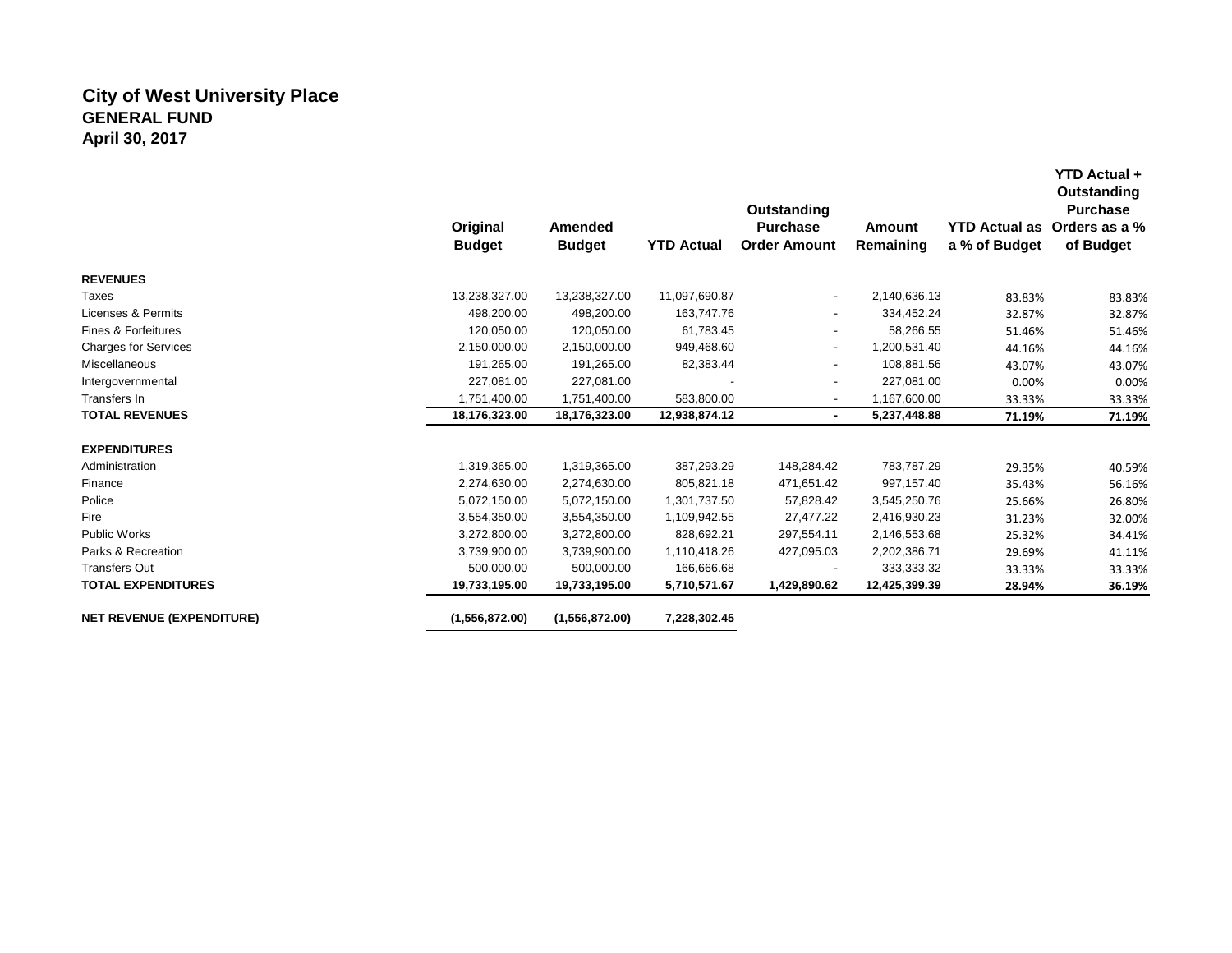# **City of West University Place GENERAL FUND April 30, 2017**

|                                  | Original<br><b>Budget</b> | Amended<br><b>Budget</b> | <b>YTD Actual</b> | Outstanding<br><b>Purchase</b><br><b>Order Amount</b> | <b>Amount</b><br>Remaining | <b>YTD Actual as</b><br>a % of Budget | Outstanding<br><b>Purchase</b><br>Orders as a %<br>of Budget |
|----------------------------------|---------------------------|--------------------------|-------------------|-------------------------------------------------------|----------------------------|---------------------------------------|--------------------------------------------------------------|
| <b>REVENUES</b>                  |                           |                          |                   |                                                       |                            |                                       |                                                              |
| Taxes                            | 13,238,327.00             | 13,238,327.00            | 11,097,690.87     | $\overline{\phantom{a}}$                              | 2,140,636.13               | 83.83%                                | 83.83%                                                       |
| Licenses & Permits               | 498,200.00                | 498,200.00               | 163,747.76        | ٠                                                     | 334,452.24                 | 32.87%                                | 32.87%                                                       |
| <b>Fines &amp; Forfeitures</b>   | 120,050.00                | 120,050.00               | 61,783.45         | $\overline{\phantom{a}}$                              | 58,266.55                  | 51.46%                                | 51.46%                                                       |
| Charges for Services             | 2,150,000.00              | 2,150,000.00             | 949,468.60        | $\overline{\phantom{a}}$                              | 1,200,531.40               | 44.16%                                | 44.16%                                                       |
| Miscellaneous                    | 191,265.00                | 191,265.00               | 82,383.44         | ٠                                                     | 108,881.56                 | 43.07%                                | 43.07%                                                       |
| Intergovernmental                | 227,081.00                | 227,081.00               |                   |                                                       | 227,081.00                 | 0.00%                                 | 0.00%                                                        |
| Transfers In                     | 1,751,400.00              | 1,751,400.00             | 583,800.00        |                                                       | 1,167,600.00               | 33.33%                                | 33.33%                                                       |
| <b>TOTAL REVENUES</b>            | 18,176,323.00             | 18,176,323.00            | 12,938,874.12     | $\blacksquare$                                        | 5,237,448.88               | 71.19%                                | 71.19%                                                       |
| <b>EXPENDITURES</b>              |                           |                          |                   |                                                       |                            |                                       |                                                              |
| Administration                   | 1,319,365.00              | 1,319,365.00             | 387,293.29        | 148,284.42                                            | 783,787.29                 | 29.35%                                | 40.59%                                                       |
| Finance                          | 2,274,630.00              | 2,274,630.00             | 805,821.18        | 471,651.42                                            | 997,157.40                 | 35.43%                                | 56.16%                                                       |
| Police                           | 5,072,150.00              | 5,072,150.00             | 1,301,737.50      | 57,828.42                                             | 3,545,250.76               | 25.66%                                | 26.80%                                                       |
| Fire                             | 3,554,350.00              | 3,554,350.00             | 1,109,942.55      | 27,477.22                                             | 2,416,930.23               | 31.23%                                | 32.00%                                                       |
| <b>Public Works</b>              | 3,272,800.00              | 3,272,800.00             | 828,692.21        | 297,554.11                                            | 2,146,553.68               | 25.32%                                | 34.41%                                                       |
| Parks & Recreation               | 3,739,900.00              | 3,739,900.00             | 1,110,418.26      | 427,095.03                                            | 2,202,386.71               | 29.69%                                | 41.11%                                                       |
| <b>Transfers Out</b>             | 500,000.00                | 500,000.00               | 166,666.68        |                                                       | 333,333.32                 | 33.33%                                | 33.33%                                                       |
| <b>TOTAL EXPENDITURES</b>        | 19,733,195.00             | 19,733,195.00            | 5,710,571.67      | 1,429,890.62                                          | 12,425,399.39              | 28.94%                                | 36.19%                                                       |
| <b>NET REVENUE (EXPENDITURE)</b> | (1,556,872.00)            | (1,556,872.00)           | 7,228,302.45      |                                                       |                            |                                       |                                                              |

**YTD Actual +**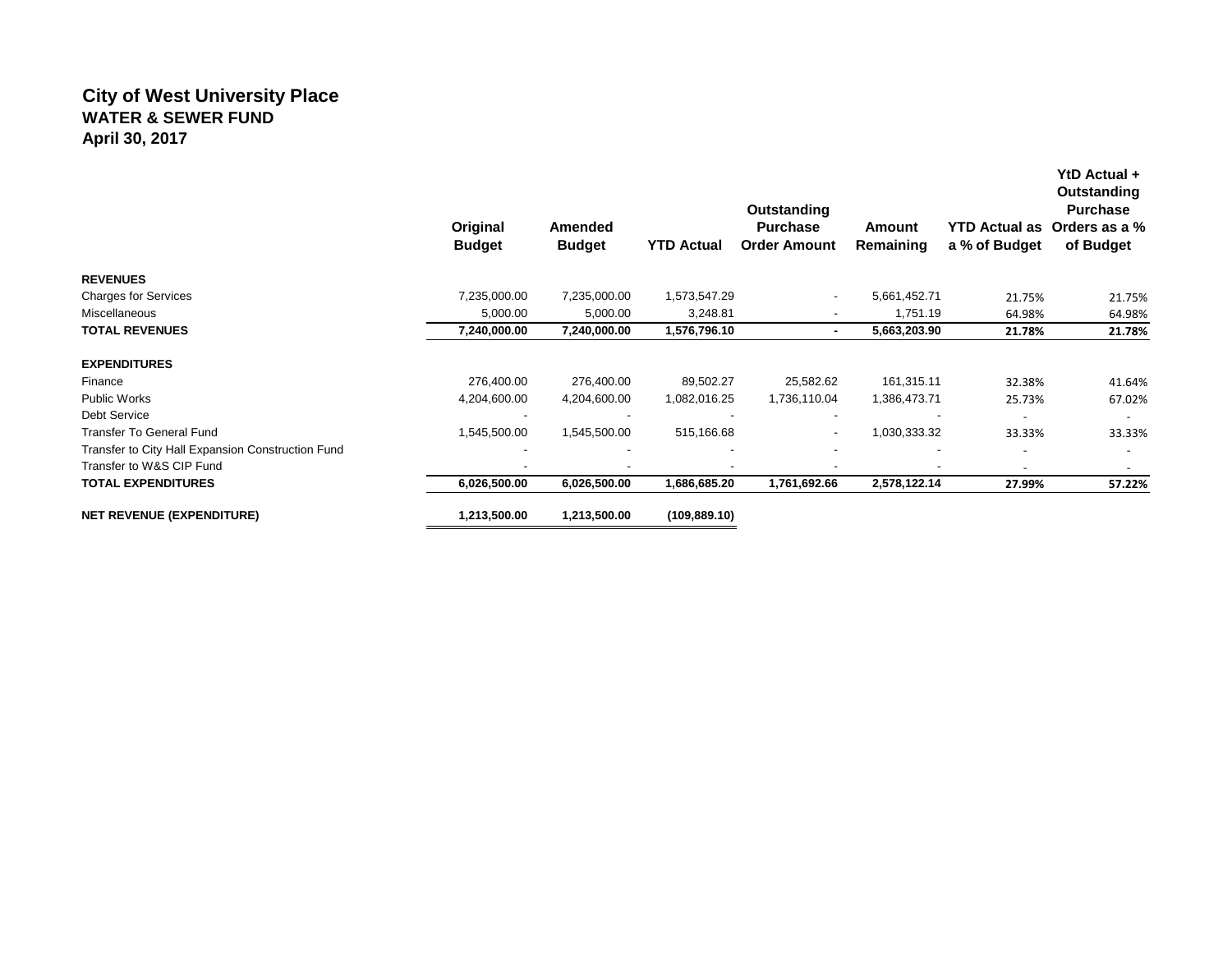# **City of West University Place WATER & SEWER FUND April 30, 2017**

|                                                   | Original<br><b>Budget</b> | Amended<br><b>Budget</b> | <b>YTD Actual</b> | Outstanding<br><b>Purchase</b><br><b>Order Amount</b> | Amount<br>Remaining | <b>YTD Actual as</b><br>a % of Budget | YtD Actual +<br>Outstanding<br><b>Purchase</b><br>Orders as a %<br>of Budget |
|---------------------------------------------------|---------------------------|--------------------------|-------------------|-------------------------------------------------------|---------------------|---------------------------------------|------------------------------------------------------------------------------|
| <b>REVENUES</b>                                   |                           |                          |                   |                                                       |                     |                                       |                                                                              |
| <b>Charges for Services</b>                       | 7,235,000.00              | 7,235,000.00             | 1,573,547.29      | $\overline{\phantom{a}}$                              | 5,661,452.71        | 21.75%                                | 21.75%                                                                       |
| Miscellaneous                                     | 5,000.00                  | 5,000.00                 | 3,248.81          |                                                       | 1,751.19            | 64.98%                                | 64.98%                                                                       |
| <b>TOTAL REVENUES</b>                             | 7,240,000.00              | 7,240,000.00             | 1,576,796.10      |                                                       | 5,663,203.90        | 21.78%                                | 21.78%                                                                       |
| <b>EXPENDITURES</b>                               |                           |                          |                   |                                                       |                     |                                       |                                                                              |
| Finance                                           | 276,400.00                | 276,400.00               | 89,502.27         | 25,582.62                                             | 161,315.11          | 32.38%                                | 41.64%                                                                       |
| <b>Public Works</b>                               | 4,204,600.00              | 4,204,600.00             | 1,082,016.25      | 1,736,110.04                                          | 1,386,473.71        | 25.73%                                | 67.02%                                                                       |
| Debt Service                                      |                           |                          |                   |                                                       |                     | $\overline{\phantom{a}}$              | $\overline{\phantom{a}}$                                                     |
| <b>Transfer To General Fund</b>                   | 1,545,500.00              | 1,545,500.00             | 515,166.68        | ۰                                                     | 1,030,333.32        | 33.33%                                | 33.33%                                                                       |
| Transfer to City Hall Expansion Construction Fund |                           | $\overline{\phantom{a}}$ |                   |                                                       |                     |                                       |                                                                              |
| Transfer to W&S CIP Fund                          |                           | $\overline{\phantom{a}}$ |                   |                                                       | ۰                   | $\overline{\phantom{0}}$              |                                                                              |
| <b>TOTAL EXPENDITURES</b>                         | 6,026,500.00              | 6,026,500.00             | 1,686,685.20      | 1,761,692.66                                          | 2,578,122.14        | 27.99%                                | 57.22%                                                                       |
| <b>NET REVENUE (EXPENDITURE)</b>                  | 1,213,500.00              | 1,213,500.00             | (109, 889.10)     |                                                       |                     |                                       |                                                                              |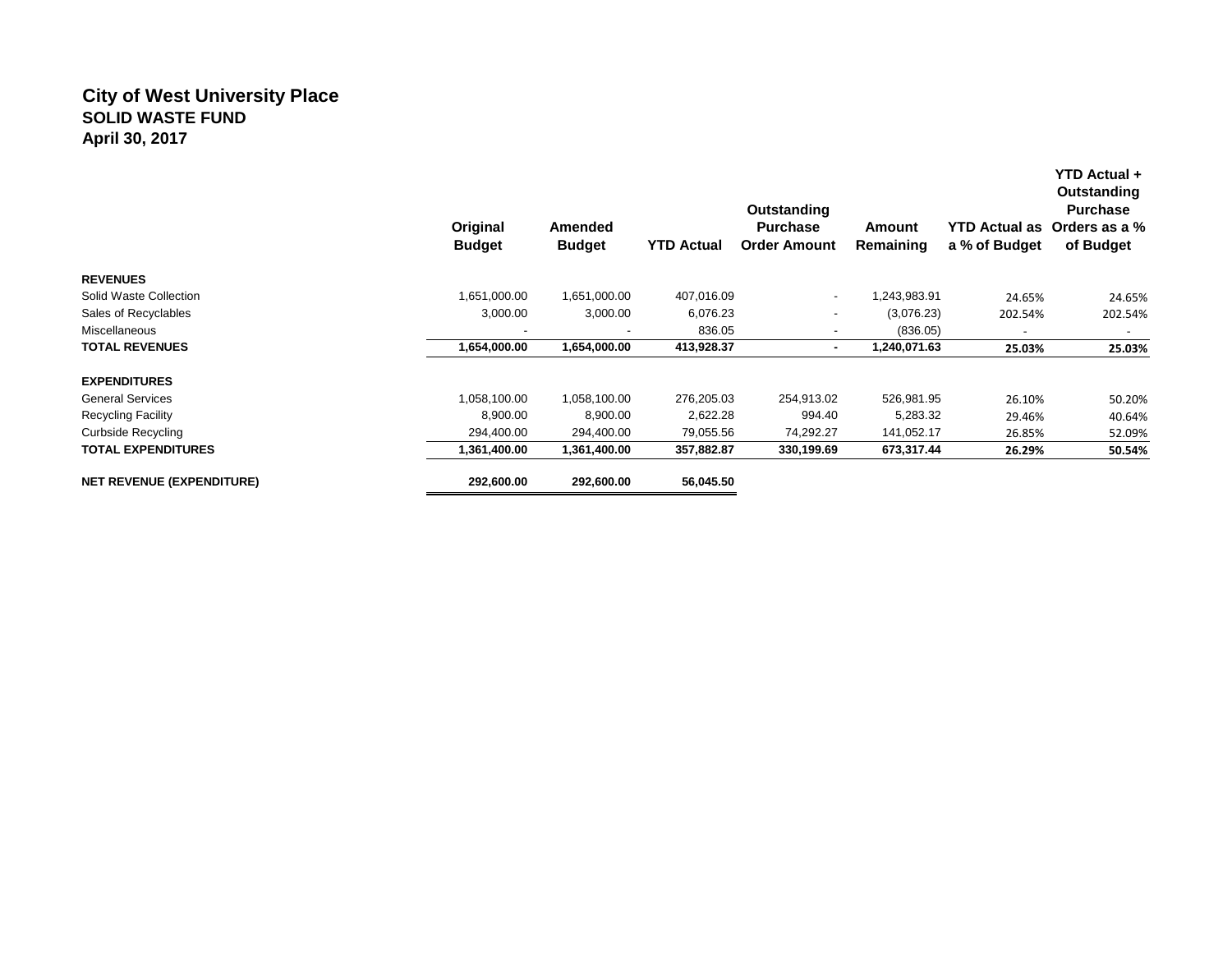## **City of West University Place SOLID WASTE FUND April 30, 2017**

|                                  | Original<br><b>Budget</b> | Amended<br><b>Budget</b> | <b>YTD Actual</b> | Outstanding<br><b>Purchase</b><br><b>Order Amount</b> | Amount<br>Remaining | <b>YTD Actual as</b><br>a % of Budget | YTD Actual +<br>Outstanding<br><b>Purchase</b><br>Orders as a %<br>of Budget |
|----------------------------------|---------------------------|--------------------------|-------------------|-------------------------------------------------------|---------------------|---------------------------------------|------------------------------------------------------------------------------|
| <b>REVENUES</b>                  |                           |                          |                   |                                                       |                     |                                       |                                                                              |
| Solid Waste Collection           | 1,651,000.00              | 1,651,000.00             | 407,016.09        | $\overline{\phantom{a}}$                              | 1,243,983.91        | 24.65%                                | 24.65%                                                                       |
| Sales of Recyclables             | 3,000.00                  | 3,000.00                 | 6,076.23          | $\overline{\phantom{a}}$                              | (3,076.23)          | 202.54%                               | 202.54%                                                                      |
| Miscellaneous                    |                           |                          | 836.05            |                                                       | (836.05)            |                                       |                                                                              |
| <b>TOTAL REVENUES</b>            | 1,654,000.00              | 1,654,000.00             | 413,928.37        | $\blacksquare$                                        | 1,240,071.63        | 25.03%                                | 25.03%                                                                       |
| <b>EXPENDITURES</b>              |                           |                          |                   |                                                       |                     |                                       |                                                                              |
| <b>General Services</b>          | 1,058,100.00              | 1,058,100.00             | 276,205.03        | 254,913.02                                            | 526,981.95          | 26.10%                                | 50.20%                                                                       |
| <b>Recycling Facility</b>        | 8,900.00                  | 8,900.00                 | 2,622.28          | 994.40                                                | 5,283.32            | 29.46%                                | 40.64%                                                                       |
| <b>Curbside Recycling</b>        | 294,400.00                | 294,400.00               | 79,055.56         | 74,292.27                                             | 141,052.17          | 26.85%                                | 52.09%                                                                       |
| <b>TOTAL EXPENDITURES</b>        | 1,361,400.00              | 1,361,400.00             | 357,882.87        | 330,199.69                                            | 673,317.44          | 26.29%                                | 50.54%                                                                       |
| <b>NET REVENUE (EXPENDITURE)</b> | 292,600.00                | 292,600.00               | 56,045.50         |                                                       |                     |                                       |                                                                              |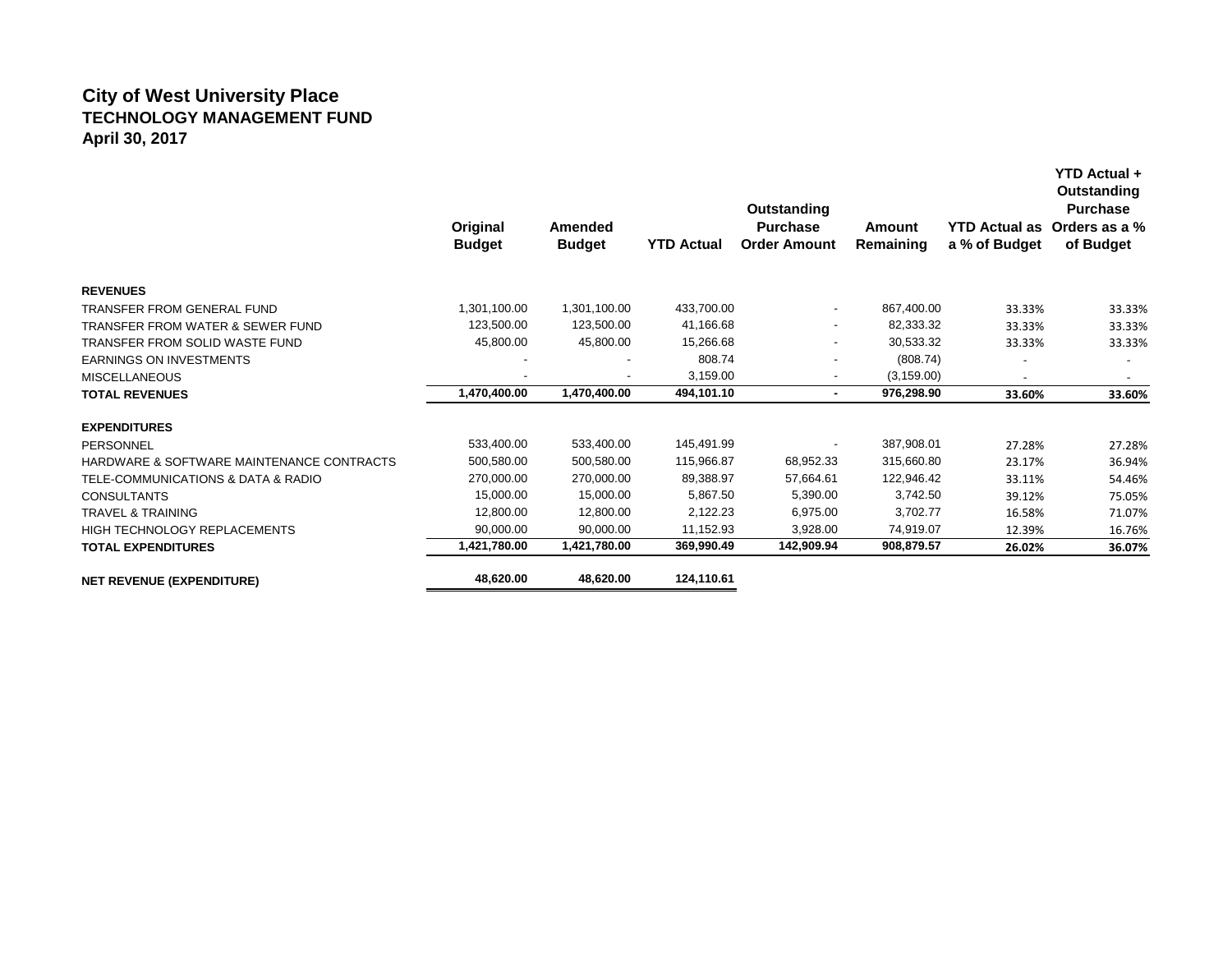## **City of West University Place TECHNOLOGY MANAGEMENT FUND April 30, 2017**

|                                             | Original<br><b>Budget</b> | <b>Amended</b><br><b>Budget</b> | <b>YTD Actual</b> | Outstanding<br><b>Purchase</b><br><b>Order Amount</b> | Amount<br>Remaining | YTD Actual as Orders as a %<br>a % of Budget | <b>YTD Actual +</b><br><b>Outstanding</b><br><b>Purchase</b><br>of Budget |
|---------------------------------------------|---------------------------|---------------------------------|-------------------|-------------------------------------------------------|---------------------|----------------------------------------------|---------------------------------------------------------------------------|
| <b>REVENUES</b>                             |                           |                                 |                   |                                                       |                     |                                              |                                                                           |
| TRANSFER FROM GENERAL FUND                  | 1,301,100.00              | 1,301,100.00                    | 433,700.00        | $\overline{\phantom{a}}$                              | 867,400.00          | 33.33%                                       | 33.33%                                                                    |
| <b>TRANSFER FROM WATER &amp; SEWER FUND</b> | 123,500.00                | 123,500.00                      | 41,166.68         | $\overline{\phantom{a}}$                              | 82,333.32           | 33.33%                                       | 33.33%                                                                    |
| TRANSFER FROM SOLID WASTE FUND              | 45,800.00                 | 45,800.00                       | 15,266.68         |                                                       | 30,533.32           | 33.33%                                       | 33.33%                                                                    |
| <b>EARNINGS ON INVESTMENTS</b>              |                           |                                 | 808.74            |                                                       | (808.74)            |                                              |                                                                           |
| <b>MISCELLANEOUS</b>                        |                           | $\overline{\phantom{a}}$        | 3,159.00          |                                                       | (3, 159.00)         |                                              |                                                                           |
| <b>TOTAL REVENUES</b>                       | 1,470,400.00              | 1,470,400.00                    | 494,101.10        | $\blacksquare$                                        | 976,298.90          | 33.60%                                       | 33.60%                                                                    |
| <b>EXPENDITURES</b>                         |                           |                                 |                   |                                                       |                     |                                              |                                                                           |
| <b>PERSONNEL</b>                            | 533,400.00                | 533,400.00                      | 145,491.99        |                                                       | 387,908.01          | 27.28%                                       | 27.28%                                                                    |
| HARDWARE & SOFTWARE MAINTENANCE CONTRACTS   | 500,580.00                | 500.580.00                      | 115,966.87        | 68,952.33                                             | 315,660.80          | 23.17%                                       | 36.94%                                                                    |
| TELE-COMMUNICATIONS & DATA & RADIO          | 270,000.00                | 270,000.00                      | 89,388.97         | 57,664.61                                             | 122,946.42          | 33.11%                                       | 54.46%                                                                    |
| <b>CONSULTANTS</b>                          | 15,000.00                 | 15.000.00                       | 5.867.50          | 5,390.00                                              | 3,742.50            | 39.12%                                       | 75.05%                                                                    |
| <b>TRAVEL &amp; TRAINING</b>                | 12,800.00                 | 12,800.00                       | 2,122.23          | 6,975.00                                              | 3,702.77            | 16.58%                                       | 71.07%                                                                    |
| HIGH TECHNOLOGY REPLACEMENTS                | 90,000.00                 | 90,000.00                       | 11,152.93         | 3,928.00                                              | 74,919.07           | 12.39%                                       | 16.76%                                                                    |
| <b>TOTAL EXPENDITURES</b>                   | 1,421,780.00              | 1,421,780.00                    | 369,990.49        | 142,909.94                                            | 908,879.57          | 26.02%                                       | 36.07%                                                                    |
| <b>NET REVENUE (EXPENDITURE)</b>            | 48,620.00                 | 48,620.00                       | 124,110.61        |                                                       |                     |                                              |                                                                           |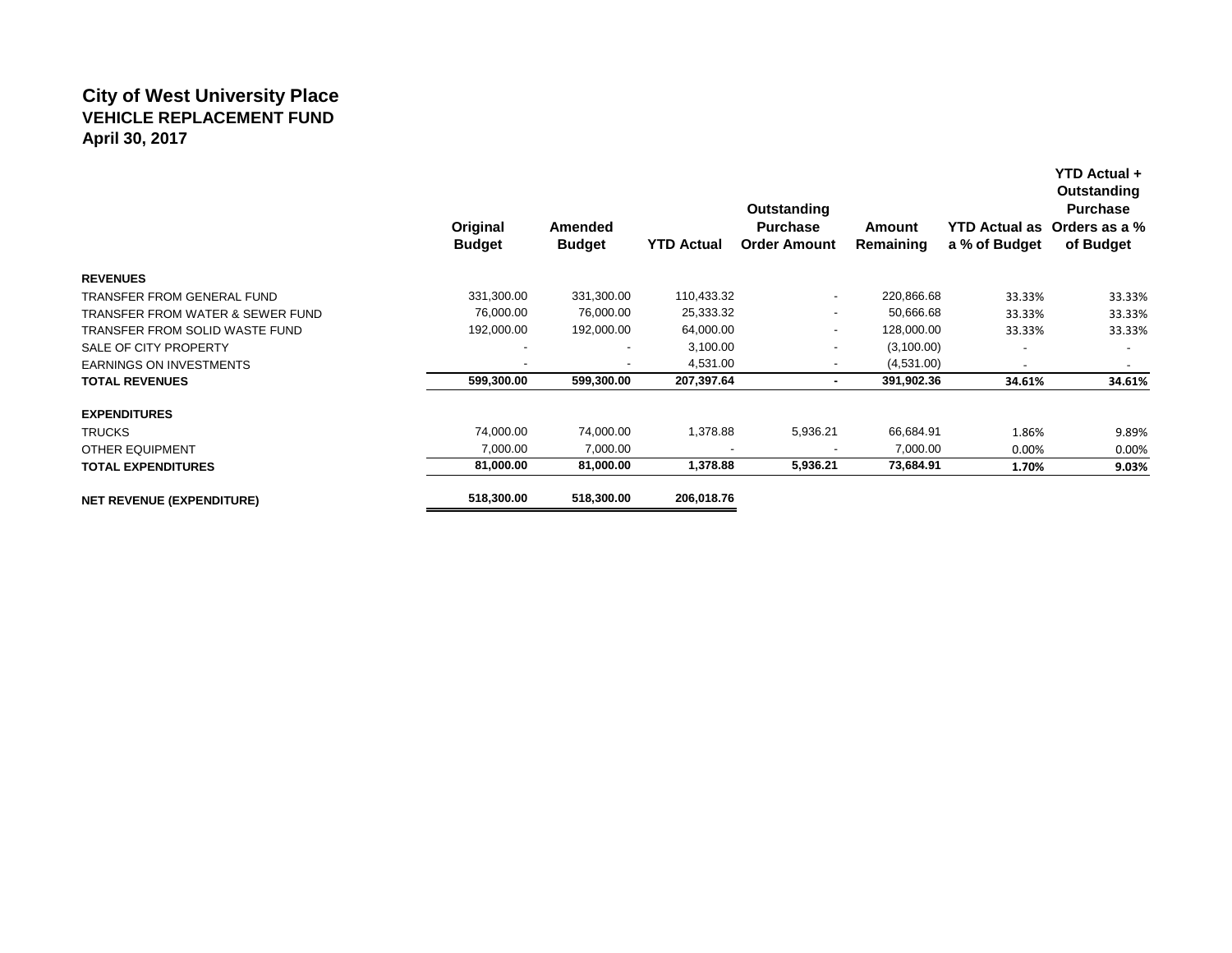## **City of West University Place VEHICLE REPLACEMENT FUND April 30, 2017**

|                                             | Original<br><b>Budget</b> | Amended<br><b>Budget</b> | <b>YTD Actual</b> | Outstanding<br><b>Purchase</b><br><b>Order Amount</b> | <b>Amount</b><br>Remaining | <b>YTD Actual as</b><br>a % of Budget | Outstanding<br><b>Purchase</b><br>Orders as a %<br>of Budget |
|---------------------------------------------|---------------------------|--------------------------|-------------------|-------------------------------------------------------|----------------------------|---------------------------------------|--------------------------------------------------------------|
| <b>REVENUES</b>                             |                           |                          |                   |                                                       |                            |                                       |                                                              |
| TRANSFER FROM GENERAL FUND                  | 331,300.00                | 331,300.00               | 110,433.32        | $\overline{\phantom{a}}$                              | 220,866.68                 | 33.33%                                | 33.33%                                                       |
| <b>TRANSFER FROM WATER &amp; SEWER FUND</b> | 76,000.00                 | 76,000.00                | 25,333.32         | $\overline{\phantom{a}}$                              | 50,666.68                  | 33.33%                                | 33.33%                                                       |
| TRANSFER FROM SOLID WASTE FUND              | 192,000.00                | 192,000.00               | 64,000.00         | ٠                                                     | 128,000.00                 | 33.33%                                | 33.33%                                                       |
| SALE OF CITY PROPERTY                       |                           |                          | 3,100.00          |                                                       | (3,100.00)                 |                                       |                                                              |
| <b>EARNINGS ON INVESTMENTS</b>              |                           | $\overline{\phantom{a}}$ | 4,531.00          | $\overline{\phantom{a}}$                              | (4,531.00)                 |                                       |                                                              |
| <b>TOTAL REVENUES</b>                       | 599,300.00                | 599,300.00               | 207,397.64        | $\blacksquare$                                        | 391,902.36                 | 34.61%                                | 34.61%                                                       |
| <b>EXPENDITURES</b>                         |                           |                          |                   |                                                       |                            |                                       |                                                              |
| <b>TRUCKS</b>                               | 74,000.00                 | 74,000.00                | 1,378.88          | 5,936.21                                              | 66,684.91                  | 1.86%                                 | 9.89%                                                        |
| <b>OTHER EQUIPMENT</b>                      | 7,000.00                  | 7,000.00                 |                   |                                                       | 7,000.00                   | 0.00%                                 | 0.00%                                                        |
| <b>TOTAL EXPENDITURES</b>                   | 81,000.00                 | 81,000.00                | 1,378.88          | 5,936.21                                              | 73,684.91                  | 1.70%                                 | 9.03%                                                        |
| <b>NET REVENUE (EXPENDITURE)</b>            | 518,300.00                | 518,300.00               | 206,018.76        |                                                       |                            |                                       |                                                              |

**YTD Actual +**